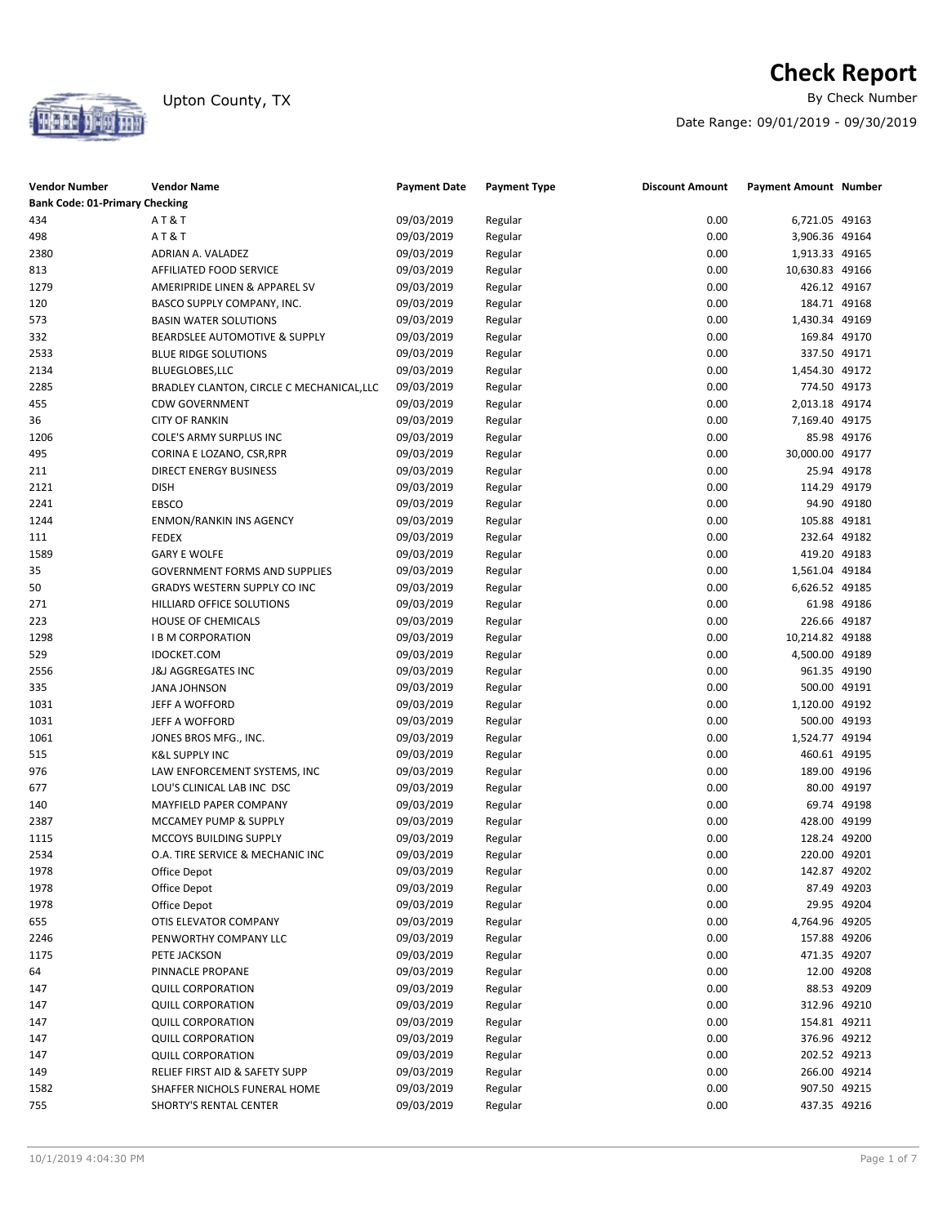

# **Check Report**<br>By Check Number

Date Range: 09/01/2019 - 09/30/2019

| <b>Vendor Number</b><br><b>Bank Code: 01-Primary Checking</b> | Vendor Name                                                 | <b>Payment Date</b> | <b>Payment Type</b> | <b>Discount Amount</b> | <b>Payment Amount Number</b>   |             |
|---------------------------------------------------------------|-------------------------------------------------------------|---------------------|---------------------|------------------------|--------------------------------|-------------|
| 434                                                           | <b>AT&amp;T</b>                                             | 09/03/2019          | Regular             | 0.00                   | 6,721.05 49163                 |             |
| 498                                                           | <b>AT&amp;T</b>                                             | 09/03/2019          | Regular             | 0.00                   | 3,906.36 49164                 |             |
| 2380                                                          | ADRIAN A. VALADEZ                                           | 09/03/2019          | Regular             | 0.00                   | 1,913.33 49165                 |             |
| 813                                                           | AFFILIATED FOOD SERVICE                                     | 09/03/2019          | Regular             | 0.00                   | 10,630.83 49166                |             |
| 1279                                                          | AMERIPRIDE LINEN & APPAREL SV                               | 09/03/2019          | Regular             | 0.00                   | 426.12 49167                   |             |
| 120                                                           | BASCO SUPPLY COMPANY, INC.                                  | 09/03/2019          | Regular             | 0.00                   | 184.71 49168                   |             |
| 573                                                           | <b>BASIN WATER SOLUTIONS</b>                                | 09/03/2019          | Regular             | 0.00                   | 1,430.34 49169                 |             |
| 332                                                           | <b>BEARDSLEE AUTOMOTIVE &amp; SUPPLY</b>                    | 09/03/2019          | Regular             | 0.00                   | 169.84 49170                   |             |
|                                                               |                                                             |                     |                     |                        |                                |             |
| 2533                                                          | <b>BLUE RIDGE SOLUTIONS</b>                                 | 09/03/2019          | Regular             | 0.00<br>0.00           | 337.50 49171<br>1,454.30 49172 |             |
| 2134                                                          | BLUEGLOBES,LLC<br>BRADLEY CLANTON, CIRCLE C MECHANICAL, LLC | 09/03/2019          | Regular             |                        |                                |             |
| 2285                                                          |                                                             | 09/03/2019          | Regular             | 0.00                   | 774.50 49173                   |             |
| 455                                                           | <b>CDW GOVERNMENT</b>                                       | 09/03/2019          | Regular             | 0.00                   | 2,013.18 49174                 |             |
| 36                                                            | <b>CITY OF RANKIN</b>                                       | 09/03/2019          | Regular             | 0.00                   | 7,169.40 49175                 |             |
| 1206                                                          | COLE'S ARMY SURPLUS INC                                     | 09/03/2019          | Regular             | 0.00                   |                                | 85.98 49176 |
| 495                                                           | CORINA E LOZANO, CSR, RPR                                   | 09/03/2019          | Regular             | 0.00                   | 30,000.00 49177                |             |
| 211                                                           | DIRECT ENERGY BUSINESS                                      | 09/03/2019          | Regular             | 0.00                   |                                | 25.94 49178 |
| 2121                                                          | <b>DISH</b>                                                 | 09/03/2019          | Regular             | 0.00                   | 114.29 49179                   |             |
| 2241                                                          | EBSCO                                                       | 09/03/2019          | Regular             | 0.00                   |                                | 94.90 49180 |
| 1244                                                          | <b>ENMON/RANKIN INS AGENCY</b>                              | 09/03/2019          | Regular             | 0.00                   | 105.88 49181                   |             |
| 111                                                           | <b>FEDEX</b>                                                | 09/03/2019          | Regular             | 0.00                   | 232.64 49182                   |             |
| 1589                                                          | <b>GARY E WOLFE</b>                                         | 09/03/2019          | Regular             | 0.00                   | 419.20 49183                   |             |
| 35                                                            | <b>GOVERNMENT FORMS AND SUPPLIES</b>                        | 09/03/2019          | Regular             | 0.00                   | 1,561.04 49184                 |             |
| 50                                                            | GRADYS WESTERN SUPPLY CO INC                                | 09/03/2019          | Regular             | 0.00                   | 6,626.52 49185                 |             |
| 271                                                           | HILLIARD OFFICE SOLUTIONS                                   | 09/03/2019          | Regular             | 0.00                   |                                | 61.98 49186 |
| 223                                                           | HOUSE OF CHEMICALS                                          | 09/03/2019          | Regular             | 0.00                   | 226.66 49187                   |             |
| 1298                                                          | <b>I B M CORPORATION</b>                                    | 09/03/2019          | Regular             | 0.00                   | 10,214.82 49188                |             |
| 529                                                           | <b>IDOCKET.COM</b>                                          | 09/03/2019          | Regular             | 0.00                   | 4,500.00 49189                 |             |
| 2556                                                          | <b>J&amp;J AGGREGATES INC</b>                               | 09/03/2019          | Regular             | 0.00                   | 961.35 49190                   |             |
| 335                                                           | <b>JANA JOHNSON</b>                                         | 09/03/2019          | Regular             | 0.00                   | 500.00 49191                   |             |
| 1031                                                          | JEFF A WOFFORD                                              | 09/03/2019          | Regular             | 0.00                   | 1,120.00 49192                 |             |
| 1031                                                          | JEFF A WOFFORD                                              | 09/03/2019          | Regular             | 0.00                   | 500.00 49193                   |             |
| 1061                                                          | JONES BROS MFG., INC.                                       | 09/03/2019          | Regular             | 0.00                   | 1,524.77 49194                 |             |
| 515                                                           | <b>K&amp;L SUPPLY INC</b>                                   | 09/03/2019          | Regular             | 0.00                   | 460.61 49195                   |             |
| 976                                                           | LAW ENFORCEMENT SYSTEMS, INC                                | 09/03/2019          | Regular             | 0.00                   | 189.00 49196                   |             |
| 677                                                           | LOU'S CLINICAL LAB INC DSC                                  | 09/03/2019          | Regular             | 0.00                   |                                | 80.00 49197 |
| 140                                                           | MAYFIELD PAPER COMPANY                                      | 09/03/2019          | Regular             | 0.00                   |                                | 69.74 49198 |
| 2387                                                          | MCCAMEY PUMP & SUPPLY                                       | 09/03/2019          | Regular             | 0.00                   | 428.00 49199                   |             |
| 1115                                                          | MCCOYS BUILDING SUPPLY                                      | 09/03/2019          | Regular             | 0.00                   | 128.24 49200                   |             |
| 2534                                                          | O.A. TIRE SERVICE & MECHANIC INC                            | 09/03/2019          | Regular             | 0.00                   | 220.00 49201                   |             |
| 1978                                                          | Office Depot                                                | 09/03/2019          | Regular             | 0.00                   | 142.87 49202                   |             |
| 1978                                                          | Office Depot                                                | 09/03/2019          | Regular             | 0.00                   |                                | 87.49 49203 |
| 1978                                                          | Office Depot                                                | 09/03/2019          | Regular             | 0.00                   |                                | 29.95 49204 |
| 655                                                           | OTIS ELEVATOR COMPANY                                       | 09/03/2019          | Regular             | 0.00                   | 4,764.96 49205                 |             |
| 2246                                                          | PENWORTHY COMPANY LLC                                       | 09/03/2019          | Regular             | 0.00                   | 157.88 49206                   |             |
| 1175                                                          | PETE JACKSON                                                | 09/03/2019          | Regular             | 0.00                   | 471.35 49207                   |             |
| 64                                                            | PINNACLE PROPANE                                            | 09/03/2019          | Regular             | 0.00                   |                                | 12.00 49208 |
| 147                                                           | <b>QUILL CORPORATION</b>                                    | 09/03/2019          | Regular             | 0.00                   |                                | 88.53 49209 |
| 147                                                           | <b>QUILL CORPORATION</b>                                    | 09/03/2019          | Regular             | 0.00                   | 312.96 49210                   |             |
| 147                                                           | <b>QUILL CORPORATION</b>                                    | 09/03/2019          | Regular             | 0.00                   | 154.81 49211                   |             |
| 147                                                           | <b>QUILL CORPORATION</b>                                    | 09/03/2019          | Regular             | 0.00                   | 376.96 49212                   |             |
| 147                                                           | <b>QUILL CORPORATION</b>                                    | 09/03/2019          | Regular             | 0.00                   | 202.52 49213                   |             |
| 149                                                           | RELIEF FIRST AID & SAFETY SUPP                              | 09/03/2019          | Regular             | 0.00                   | 266.00 49214                   |             |
| 1582                                                          | SHAFFER NICHOLS FUNERAL HOME                                | 09/03/2019          | Regular             | 0.00                   | 907.50 49215                   |             |
| 755                                                           | SHORTY'S RENTAL CENTER                                      | 09/03/2019          | Regular             | 0.00                   | 437.35 49216                   |             |
|                                                               |                                                             |                     |                     |                        |                                |             |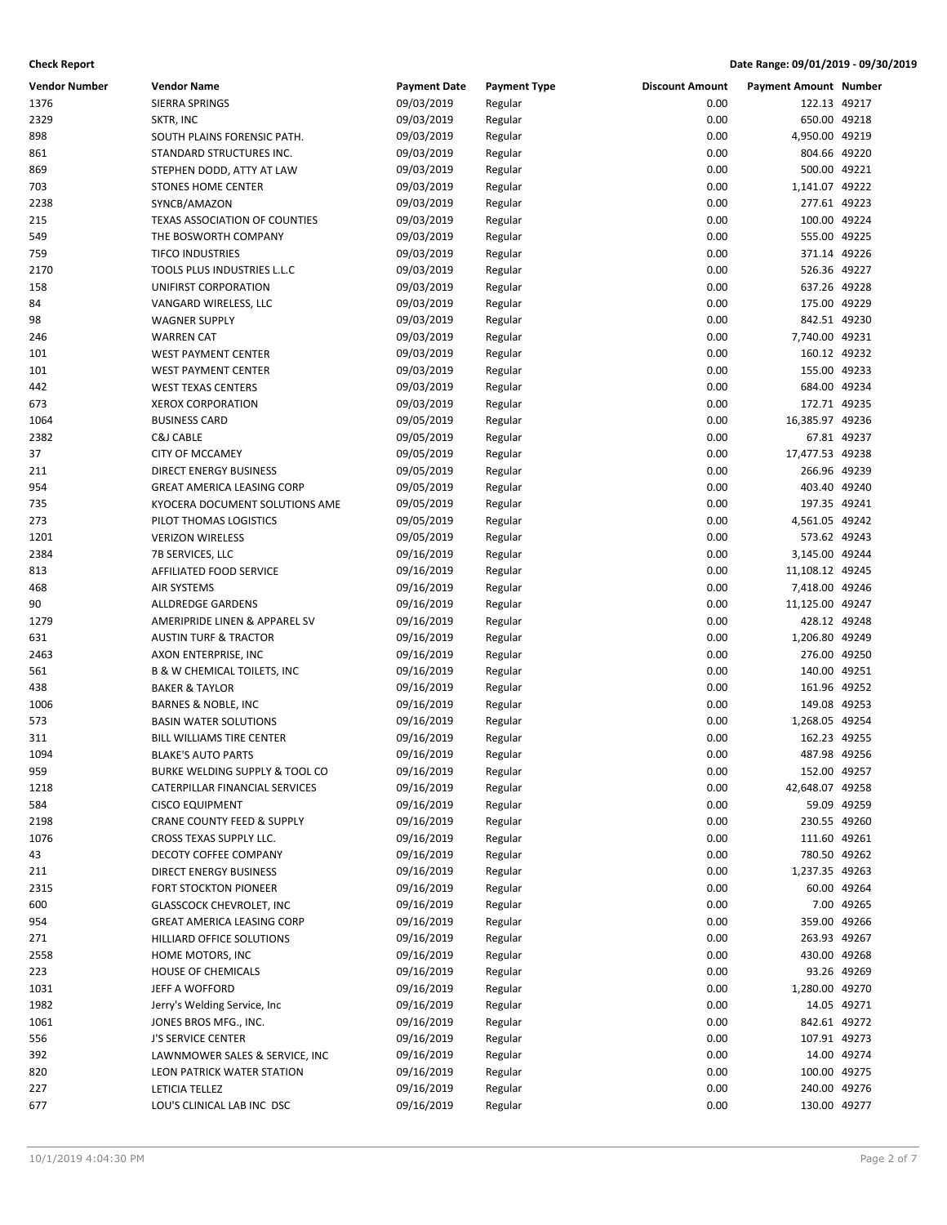| Vendor Number | <b>Vendor Name</b>                                               | <b>Payment Date</b>      | <b>Payment Type</b> | <b>Discount Amount</b> | <b>Payment Amount Number</b> |             |
|---------------|------------------------------------------------------------------|--------------------------|---------------------|------------------------|------------------------------|-------------|
| 1376          | SIERRA SPRINGS                                                   | 09/03/2019               | Regular             | 0.00                   | 122.13 49217                 |             |
| 2329          | SKTR, INC                                                        | 09/03/2019               | Regular             | 0.00                   | 650.00 49218                 |             |
| 898           | SOUTH PLAINS FORENSIC PATH.                                      | 09/03/2019               | Regular             | 0.00                   | 4,950.00 49219               |             |
| 861           | STANDARD STRUCTURES INC.                                         | 09/03/2019               | Regular             | 0.00                   | 804.66 49220                 |             |
| 869           | STEPHEN DODD, ATTY AT LAW                                        | 09/03/2019               | Regular             | 0.00                   | 500.00 49221                 |             |
| 703           | <b>STONES HOME CENTER</b>                                        | 09/03/2019               | Regular             | 0.00                   | 1,141.07 49222               |             |
| 2238          | SYNCB/AMAZON                                                     | 09/03/2019               | Regular             | 0.00                   | 277.61 49223                 |             |
| 215           | <b>TEXAS ASSOCIATION OF COUNTIES</b>                             | 09/03/2019               | Regular             | 0.00                   | 100.00 49224                 |             |
| 549           | THE BOSWORTH COMPANY                                             | 09/03/2019               | Regular             | 0.00                   | 555.00 49225                 |             |
| 759           | <b>TIFCO INDUSTRIES</b>                                          | 09/03/2019               | Regular             | 0.00                   | 371.14 49226                 |             |
| 2170          | TOOLS PLUS INDUSTRIES L.L.C                                      | 09/03/2019               | Regular             | 0.00                   | 526.36 49227                 |             |
| 158           | UNIFIRST CORPORATION                                             | 09/03/2019               | Regular             | 0.00                   | 637.26 49228                 |             |
| 84            | VANGARD WIRELESS, LLC                                            | 09/03/2019               | Regular             | 0.00                   | 175.00 49229                 |             |
| 98            | <b>WAGNER SUPPLY</b>                                             | 09/03/2019               | Regular             | 0.00                   | 842.51 49230                 |             |
| 246           | <b>WARREN CAT</b>                                                | 09/03/2019               | Regular             | 0.00                   | 7,740.00 49231               |             |
| 101           | <b>WEST PAYMENT CENTER</b>                                       | 09/03/2019               | Regular             | 0.00                   | 160.12 49232                 |             |
| 101           | <b>WEST PAYMENT CENTER</b>                                       | 09/03/2019               | Regular             | 0.00                   | 155.00 49233                 |             |
| 442           | <b>WEST TEXAS CENTERS</b>                                        | 09/03/2019               | Regular             | 0.00                   | 684.00 49234                 |             |
| 673           | <b>XEROX CORPORATION</b>                                         | 09/03/2019               | Regular             | 0.00                   | 172.71 49235                 |             |
| 1064          | <b>BUSINESS CARD</b>                                             | 09/05/2019               | Regular             | 0.00                   | 16,385.97 49236              |             |
| 2382          | C&J CABLE                                                        | 09/05/2019               | Regular             | 0.00                   |                              | 67.81 49237 |
| 37            | <b>CITY OF MCCAMEY</b>                                           | 09/05/2019               | Regular             | 0.00                   | 17,477.53 49238              |             |
| 211           | <b>DIRECT ENERGY BUSINESS</b>                                    | 09/05/2019               | Regular             | 0.00                   | 266.96 49239                 |             |
| 954           | <b>GREAT AMERICA LEASING CORP</b>                                | 09/05/2019               | Regular             | 0.00                   | 403.40 49240                 |             |
| 735           | KYOCERA DOCUMENT SOLUTIONS AME                                   | 09/05/2019               | Regular             | 0.00                   | 197.35 49241                 |             |
| 273           | PILOT THOMAS LOGISTICS                                           | 09/05/2019               | Regular             | 0.00                   | 4,561.05 49242               |             |
| 1201          | <b>VERIZON WIRELESS</b>                                          | 09/05/2019               | Regular             | 0.00                   | 573.62 49243                 |             |
| 2384          | 7B SERVICES, LLC                                                 | 09/16/2019               | Regular             | 0.00                   | 3,145.00 49244               |             |
| 813           | AFFILIATED FOOD SERVICE                                          | 09/16/2019               | Regular             | 0.00                   | 11,108.12 49245              |             |
| 468           | <b>AIR SYSTEMS</b>                                               | 09/16/2019               | Regular             | 0.00                   | 7,418.00 49246               |             |
| 90            | ALLDREDGE GARDENS                                                | 09/16/2019               | Regular             | 0.00                   | 11,125.00 49247              |             |
| 1279          | AMERIPRIDE LINEN & APPAREL SV                                    | 09/16/2019               | Regular             | 0.00                   | 428.12 49248                 |             |
| 631           | <b>AUSTIN TURF &amp; TRACTOR</b>                                 | 09/16/2019               | Regular             | 0.00                   | 1,206.80 49249               |             |
| 2463          | AXON ENTERPRISE, INC                                             | 09/16/2019               | Regular             | 0.00                   | 276.00 49250                 |             |
| 561           | <b>B &amp; W CHEMICAL TOILETS, INC</b>                           | 09/16/2019               | Regular             | 0.00                   | 140.00 49251                 |             |
| 438           | <b>BAKER &amp; TAYLOR</b>                                        | 09/16/2019               | Regular             | 0.00                   | 161.96 49252                 |             |
| 1006          | <b>BARNES &amp; NOBLE, INC</b>                                   | 09/16/2019               | Regular             | 0.00                   | 149.08 49253                 |             |
| 573           | <b>BASIN WATER SOLUTIONS</b>                                     | 09/16/2019               | Regular             | 0.00                   | 1,268.05 49254               |             |
| 311           | BILL WILLIAMS TIRE CENTER                                        | 09/16/2019               | Regular             | 0.00                   | 162.23 49255                 |             |
| 1094<br>959   | <b>BLAKE'S AUTO PARTS</b>                                        | 09/16/2019<br>09/16/2019 | Regular             | 0.00<br>0.00           | 487.98 49256<br>152.00 49257 |             |
| 1218          | BURKE WELDING SUPPLY & TOOL CO<br>CATERPILLAR FINANCIAL SERVICES | 09/16/2019               | Regular<br>Regular  | 0.00                   | 42,648.07 49258              |             |
| 584           | <b>CISCO EQUIPMENT</b>                                           | 09/16/2019               | Regular             | 0.00                   |                              | 59.09 49259 |
| 2198          | <b>CRANE COUNTY FEED &amp; SUPPLY</b>                            | 09/16/2019               | Regular             | 0.00                   | 230.55 49260                 |             |
| 1076          | CROSS TEXAS SUPPLY LLC.                                          | 09/16/2019               | Regular             | 0.00                   | 111.60 49261                 |             |
| 43            | DECOTY COFFEE COMPANY                                            | 09/16/2019               | Regular             | 0.00                   | 780.50 49262                 |             |
| 211           | <b>DIRECT ENERGY BUSINESS</b>                                    | 09/16/2019               | Regular             | 0.00                   | 1,237.35 49263               |             |
| 2315          | <b>FORT STOCKTON PIONEER</b>                                     | 09/16/2019               | Regular             | 0.00                   |                              | 60.00 49264 |
| 600           | <b>GLASSCOCK CHEVROLET, INC</b>                                  | 09/16/2019               | Regular             | 0.00                   |                              | 7.00 49265  |
| 954           | <b>GREAT AMERICA LEASING CORP</b>                                | 09/16/2019               | Regular             | 0.00                   | 359.00 49266                 |             |
| 271           | HILLIARD OFFICE SOLUTIONS                                        | 09/16/2019               | Regular             | 0.00                   | 263.93 49267                 |             |
| 2558          | HOME MOTORS, INC                                                 | 09/16/2019               | Regular             | 0.00                   | 430.00 49268                 |             |
| 223           | <b>HOUSE OF CHEMICALS</b>                                        | 09/16/2019               | Regular             | 0.00                   |                              | 93.26 49269 |
| 1031          | JEFF A WOFFORD                                                   | 09/16/2019               | Regular             | 0.00                   | 1,280.00 49270               |             |
| 1982          | Jerry's Welding Service, Inc.                                    | 09/16/2019               | Regular             | 0.00                   |                              | 14.05 49271 |
| 1061          | JONES BROS MFG., INC.                                            | 09/16/2019               | Regular             | 0.00                   | 842.61 49272                 |             |
| 556           | J'S SERVICE CENTER                                               | 09/16/2019               | Regular             | 0.00                   | 107.91 49273                 |             |
| 392           | LAWNMOWER SALES & SERVICE, INC                                   | 09/16/2019               | Regular             | 0.00                   |                              | 14.00 49274 |
| 820           | LEON PATRICK WATER STATION                                       | 09/16/2019               | Regular             | 0.00                   | 100.00 49275                 |             |
| 227           | LETICIA TELLEZ                                                   | 09/16/2019               | Regular             | 0.00                   | 240.00 49276                 |             |
| 677           | LOU'S CLINICAL LAB INC DSC                                       | 09/16/2019               | Regular             | 0.00                   | 130.00 49277                 |             |
|               |                                                                  |                          |                     |                        |                              |             |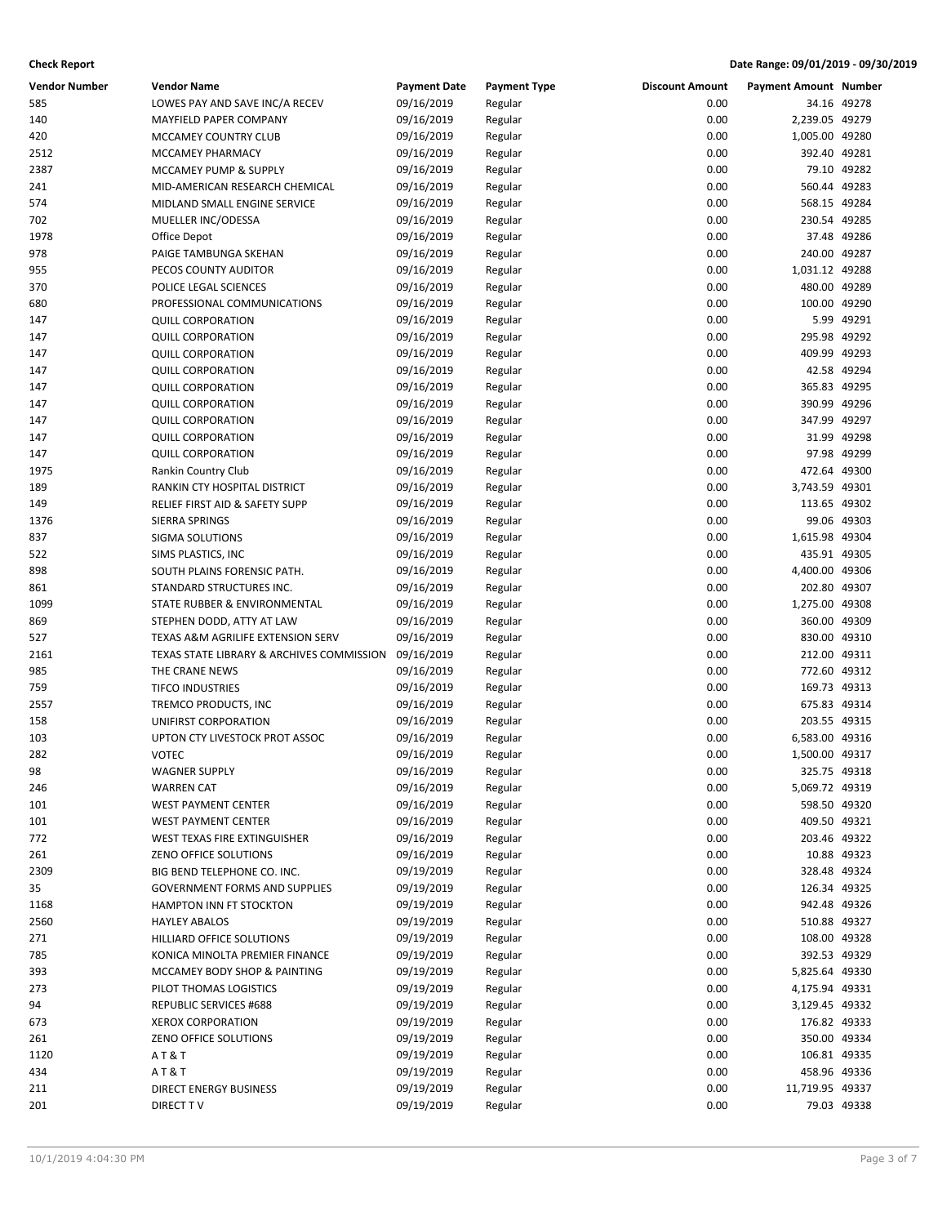| <b>Vendor Number</b> | <b>Vendor Name</b>                        | <b>Payment Date</b> | <b>Payment Type</b> | <b>Discount Amount</b> | <b>Payment Amount Number</b> |             |
|----------------------|-------------------------------------------|---------------------|---------------------|------------------------|------------------------------|-------------|
| 585                  | LOWES PAY AND SAVE INC/A RECEV            | 09/16/2019          | Regular             | 0.00                   |                              | 34.16 49278 |
| 140                  | MAYFIELD PAPER COMPANY                    | 09/16/2019          | Regular             | 0.00                   | 2,239.05 49279               |             |
| 420                  | MCCAMEY COUNTRY CLUB                      | 09/16/2019          | Regular             | 0.00                   | 1,005.00 49280               |             |
| 2512                 | MCCAMEY PHARMACY                          | 09/16/2019          | Regular             | 0.00                   | 392.40 49281                 |             |
| 2387                 | MCCAMEY PUMP & SUPPLY                     | 09/16/2019          | Regular             | 0.00                   |                              | 79.10 49282 |
| 241                  | MID-AMERICAN RESEARCH CHEMICAL            | 09/16/2019          | Regular             | 0.00                   | 560.44 49283                 |             |
| 574                  | MIDLAND SMALL ENGINE SERVICE              | 09/16/2019          | Regular             | 0.00                   | 568.15 49284                 |             |
| 702                  | MUELLER INC/ODESSA                        | 09/16/2019          | Regular             | 0.00                   | 230.54 49285                 |             |
| 1978                 | Office Depot                              | 09/16/2019          | Regular             | 0.00                   |                              | 37.48 49286 |
| 978                  | PAIGE TAMBUNGA SKEHAN                     | 09/16/2019          | Regular             | 0.00                   | 240.00 49287                 |             |
| 955                  | PECOS COUNTY AUDITOR                      | 09/16/2019          | Regular             | 0.00                   | 1,031.12 49288               |             |
| 370                  | POLICE LEGAL SCIENCES                     | 09/16/2019          | Regular             | 0.00                   | 480.00 49289                 |             |
| 680                  | PROFESSIONAL COMMUNICATIONS               | 09/16/2019          | Regular             | 0.00                   | 100.00 49290                 |             |
| 147                  | <b>QUILL CORPORATION</b>                  | 09/16/2019          | Regular             | 0.00                   |                              | 5.99 49291  |
| 147                  | <b>QUILL CORPORATION</b>                  | 09/16/2019          | Regular             | 0.00                   | 295.98 49292                 |             |
| 147                  | <b>QUILL CORPORATION</b>                  | 09/16/2019          | Regular             | 0.00                   | 409.99 49293                 |             |
| 147                  | <b>QUILL CORPORATION</b>                  | 09/16/2019          | Regular             | 0.00                   |                              | 42.58 49294 |
| 147                  | <b>QUILL CORPORATION</b>                  | 09/16/2019          | Regular             | 0.00                   | 365.83 49295                 |             |
| 147                  | <b>QUILL CORPORATION</b>                  | 09/16/2019          | Regular             | 0.00                   | 390.99 49296                 |             |
| 147                  | <b>QUILL CORPORATION</b>                  | 09/16/2019          | Regular             | 0.00                   | 347.99 49297                 |             |
| 147                  | <b>QUILL CORPORATION</b>                  | 09/16/2019          | Regular             | 0.00                   |                              | 31.99 49298 |
| 147                  | <b>QUILL CORPORATION</b>                  | 09/16/2019          | Regular             | 0.00                   |                              | 97.98 49299 |
| 1975                 | Rankin Country Club                       | 09/16/2019          | Regular             | 0.00                   | 472.64 49300                 |             |
| 189                  | RANKIN CTY HOSPITAL DISTRICT              | 09/16/2019          | Regular             | 0.00                   | 3,743.59 49301               |             |
| 149                  | RELIEF FIRST AID & SAFETY SUPP            | 09/16/2019          | Regular             | 0.00                   | 113.65 49302                 |             |
| 1376                 | SIERRA SPRINGS                            | 09/16/2019          | Regular             | 0.00                   |                              | 99.06 49303 |
| 837                  | SIGMA SOLUTIONS                           | 09/16/2019          | Regular             | 0.00                   | 1,615.98 49304               |             |
| 522                  | SIMS PLASTICS, INC                        | 09/16/2019          | Regular             | 0.00                   | 435.91 49305                 |             |
| 898                  | SOUTH PLAINS FORENSIC PATH.               | 09/16/2019          | Regular             | 0.00                   | 4,400.00 49306               |             |
| 861                  | STANDARD STRUCTURES INC.                  | 09/16/2019          | Regular             | 0.00                   | 202.80 49307                 |             |
| 1099                 | STATE RUBBER & ENVIRONMENTAL              | 09/16/2019          | Regular             | 0.00                   | 1,275.00 49308               |             |
| 869                  | STEPHEN DODD, ATTY AT LAW                 | 09/16/2019          | Regular             | 0.00                   | 360.00 49309                 |             |
| 527                  | TEXAS A&M AGRILIFE EXTENSION SERV         | 09/16/2019          | Regular             | 0.00                   | 830.00 49310                 |             |
| 2161                 | TEXAS STATE LIBRARY & ARCHIVES COMMISSION | 09/16/2019          | Regular             | 0.00                   | 212.00 49311                 |             |
| 985                  | THE CRANE NEWS                            | 09/16/2019          | Regular             | 0.00                   | 772.60 49312                 |             |
| 759                  | <b>TIFCO INDUSTRIES</b>                   | 09/16/2019          | Regular             | 0.00                   | 169.73 49313                 |             |
| 2557                 | TREMCO PRODUCTS, INC                      | 09/16/2019          | Regular             | 0.00                   | 675.83 49314                 |             |
| 158                  | UNIFIRST CORPORATION                      | 09/16/2019          | Regular             | 0.00                   | 203.55 49315                 |             |
| 103                  | UPTON CTY LIVESTOCK PROT ASSOC            | 09/16/2019          | Regular             | 0.00                   | 6,583.00 49316               |             |
| 282                  | <b>VOTEC</b>                              | 09/16/2019          | Regular             | 0.00                   | 1,500.00 49317               |             |
| 98                   | <b>WAGNER SUPPLY</b>                      | 09/16/2019          | Regular             | 0.00                   | 325.75 49318                 |             |
| 246                  | <b>WARREN CAT</b>                         | 09/16/2019          | Regular             | 0.00                   | 5,069.72 49319               |             |
| 101                  | <b>WEST PAYMENT CENTER</b>                | 09/16/2019          | Regular             | 0.00                   | 598.50 49320                 |             |
| 101                  | <b>WEST PAYMENT CENTER</b>                | 09/16/2019          | Regular             | 0.00                   | 409.50 49321                 |             |
| 772                  | WEST TEXAS FIRE EXTINGUISHER              | 09/16/2019          | Regular             | 0.00                   | 203.46 49322                 |             |
| 261                  | ZENO OFFICE SOLUTIONS                     | 09/16/2019          | Regular             | 0.00                   |                              | 10.88 49323 |
| 2309                 | BIG BEND TELEPHONE CO. INC.               | 09/19/2019          | Regular             | 0.00                   | 328.48 49324                 |             |
| 35                   | <b>GOVERNMENT FORMS AND SUPPLIES</b>      | 09/19/2019          | Regular             | 0.00                   | 126.34 49325                 |             |
| 1168                 | HAMPTON INN FT STOCKTON                   | 09/19/2019          | Regular             | 0.00                   | 942.48 49326                 |             |
| 2560                 | <b>HAYLEY ABALOS</b>                      | 09/19/2019          | Regular             | 0.00                   | 510.88 49327                 |             |
| 271                  | HILLIARD OFFICE SOLUTIONS                 | 09/19/2019          | Regular             | 0.00                   | 108.00 49328                 |             |
| 785                  | KONICA MINOLTA PREMIER FINANCE            | 09/19/2019          | Regular             | 0.00                   | 392.53 49329                 |             |
| 393                  | MCCAMEY BODY SHOP & PAINTING              | 09/19/2019          | Regular             | 0.00                   | 5,825.64 49330               |             |
| 273                  | PILOT THOMAS LOGISTICS                    | 09/19/2019          | Regular             | 0.00                   | 4,175.94 49331               |             |
| 94                   | <b>REPUBLIC SERVICES #688</b>             | 09/19/2019          | Regular             | 0.00                   | 3,129.45 49332               |             |
| 673                  | <b>XEROX CORPORATION</b>                  | 09/19/2019          | Regular             | 0.00                   | 176.82 49333                 |             |
| 261                  | ZENO OFFICE SOLUTIONS                     | 09/19/2019          | Regular             | 0.00                   | 350.00 49334                 |             |
| 1120                 | AT&T                                      | 09/19/2019          | Regular             | 0.00                   | 106.81 49335                 |             |
| 434                  | AT&T                                      | 09/19/2019          | Regular             | 0.00                   | 458.96 49336                 |             |
| 211                  | DIRECT ENERGY BUSINESS                    | 09/19/2019          | Regular             | 0.00                   | 11,719.95 49337              |             |
| 201                  | DIRECT TV                                 | 09/19/2019          | Regular             | 0.00                   |                              | 79.03 49338 |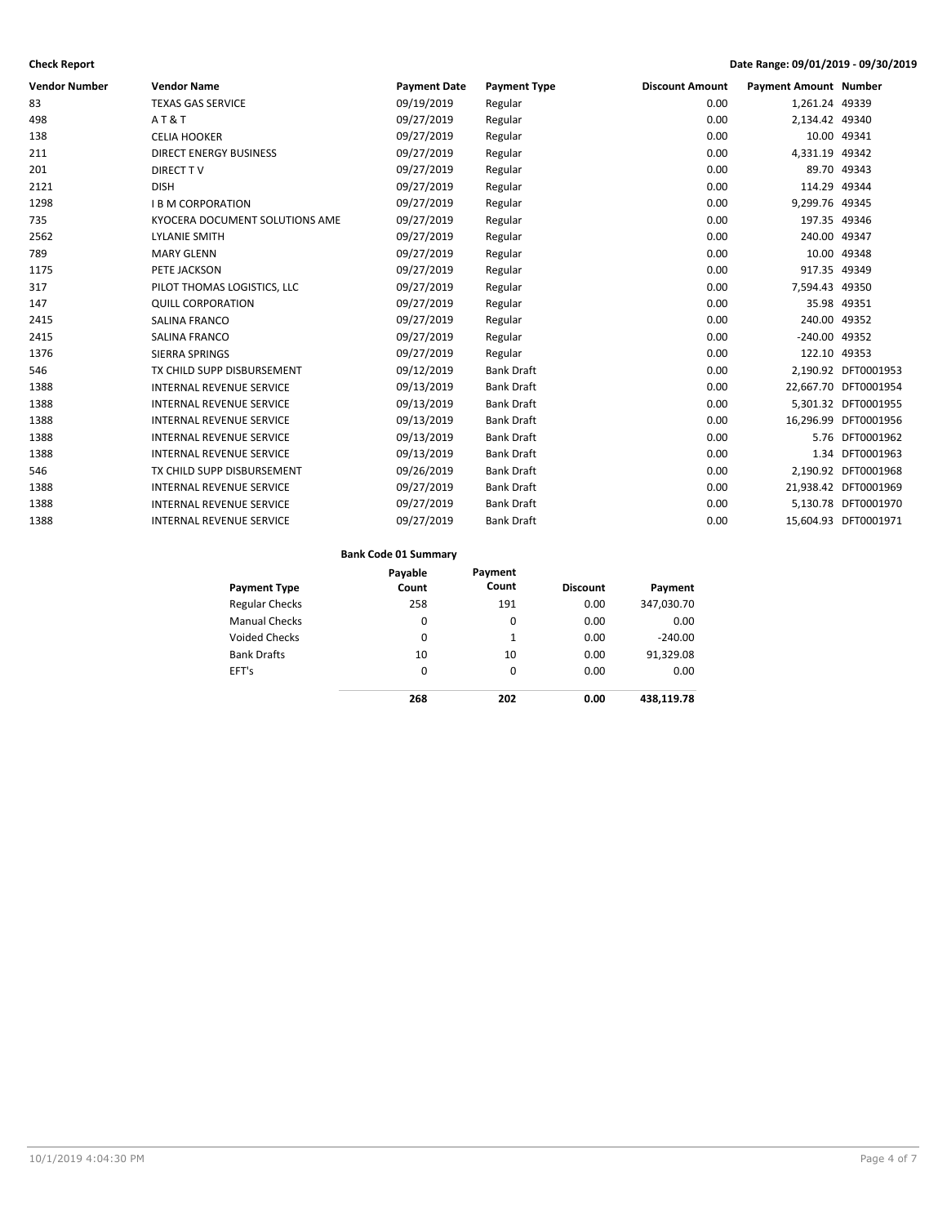| <b>Vendor Number</b> | <b>Vendor Name</b>              | <b>Payment Date</b> | <b>Payment Type</b> | <b>Discount Amount</b> | <b>Payment Amount Number</b> |                      |
|----------------------|---------------------------------|---------------------|---------------------|------------------------|------------------------------|----------------------|
| 83                   | <b>TEXAS GAS SERVICE</b>        | 09/19/2019          | Regular             | 0.00                   | 1,261.24 49339               |                      |
| 498                  | AT&T                            | 09/27/2019          | Regular             | 0.00                   | 2,134.42 49340               |                      |
| 138                  | <b>CELIA HOOKER</b>             | 09/27/2019          | Regular             | 0.00                   |                              | 10.00 49341          |
| 211                  | <b>DIRECT ENERGY BUSINESS</b>   | 09/27/2019          | Regular             | 0.00                   | 4,331.19 49342               |                      |
| 201                  | <b>DIRECT TV</b>                | 09/27/2019          | Regular             | 0.00                   |                              | 89.70 49343          |
| 2121                 | <b>DISH</b>                     | 09/27/2019          | Regular             | 0.00                   | 114.29 49344                 |                      |
| 1298                 | <b>I B M CORPORATION</b>        | 09/27/2019          | Regular             | 0.00                   | 9,299.76 49345               |                      |
| 735                  | KYOCERA DOCUMENT SOLUTIONS AME  | 09/27/2019          | Regular             | 0.00                   | 197.35 49346                 |                      |
| 2562                 | <b>LYLANIE SMITH</b>            | 09/27/2019          | Regular             | 0.00                   | 240.00 49347                 |                      |
| 789                  | <b>MARY GLENN</b>               | 09/27/2019          | Regular             | 0.00                   |                              | 10.00 49348          |
| 1175                 | PETE JACKSON                    | 09/27/2019          | Regular             | 0.00                   | 917.35 49349                 |                      |
| 317                  | PILOT THOMAS LOGISTICS. LLC     | 09/27/2019          | Regular             | 0.00                   | 7,594.43 49350               |                      |
| 147                  | <b>QUILL CORPORATION</b>        | 09/27/2019          | Regular             | 0.00                   |                              | 35.98 49351          |
| 2415                 | SALINA FRANCO                   | 09/27/2019          | Regular             | 0.00                   | 240.00 49352                 |                      |
| 2415                 | SALINA FRANCO                   | 09/27/2019          | Regular             | 0.00                   | -240.00 49352                |                      |
| 1376                 | <b>SIERRA SPRINGS</b>           | 09/27/2019          | Regular             | 0.00                   | 122.10 49353                 |                      |
| 546                  | TX CHILD SUPP DISBURSEMENT      | 09/12/2019          | <b>Bank Draft</b>   | 0.00                   |                              | 2,190.92 DFT0001953  |
| 1388                 | <b>INTERNAL REVENUE SERVICE</b> | 09/13/2019          | <b>Bank Draft</b>   | 0.00                   |                              | 22,667.70 DFT0001954 |
| 1388                 | <b>INTERNAL REVENUE SERVICE</b> | 09/13/2019          | <b>Bank Draft</b>   | 0.00                   |                              | 5,301.32 DFT0001955  |
| 1388                 | <b>INTERNAL REVENUE SERVICE</b> | 09/13/2019          | <b>Bank Draft</b>   | 0.00                   |                              | 16,296.99 DFT0001956 |
| 1388                 | <b>INTERNAL REVENUE SERVICE</b> | 09/13/2019          | <b>Bank Draft</b>   | 0.00                   |                              | 5.76 DFT0001962      |
| 1388                 | <b>INTERNAL REVENUE SERVICE</b> | 09/13/2019          | <b>Bank Draft</b>   | 0.00                   |                              | 1.34 DFT0001963      |
| 546                  | TX CHILD SUPP DISBURSEMENT      | 09/26/2019          | <b>Bank Draft</b>   | 0.00                   |                              | 2,190.92 DFT0001968  |
| 1388                 | <b>INTERNAL REVENUE SERVICE</b> | 09/27/2019          | <b>Bank Draft</b>   | 0.00                   |                              | 21,938.42 DFT0001969 |
| 1388                 | <b>INTERNAL REVENUE SERVICE</b> | 09/27/2019          | <b>Bank Draft</b>   | 0.00                   |                              | 5,130.78 DFT0001970  |
| 1388                 | <b>INTERNAL REVENUE SERVICE</b> | 09/27/2019          | <b>Bank Draft</b>   | 0.00                   |                              | 15,604.93 DFT0001971 |
|                      |                                 |                     |                     |                        |                              |                      |

### **Bank Code 01 Summary**

|                       | Payable | Payment |                 |            |
|-----------------------|---------|---------|-----------------|------------|
| <b>Payment Type</b>   | Count   | Count   | <b>Discount</b> | Payment    |
| <b>Regular Checks</b> | 258     | 191     | 0.00            | 347,030.70 |
| <b>Manual Checks</b>  | 0       | 0       | 0.00            | 0.00       |
| <b>Voided Checks</b>  | 0       | 1       | 0.00            | $-240.00$  |
| <b>Bank Drafts</b>    | 10      | 10      | 0.00            | 91,329.08  |
| EFT's                 | 0       | 0       | 0.00            | 0.00       |
|                       | 268     | 202     | 0.00            | 438,119.78 |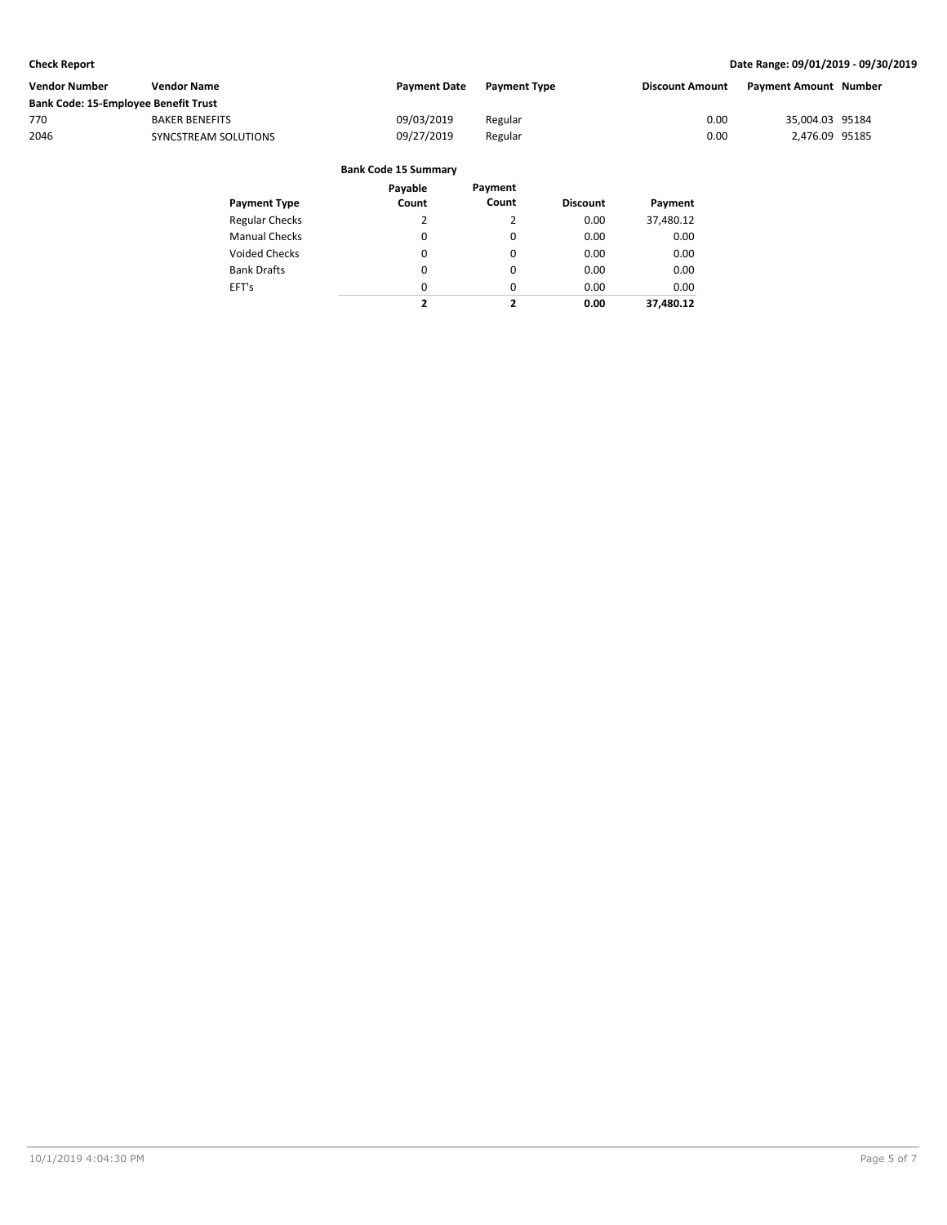| Vendor Number                        | <b>Vendor Name</b>    | <b>Payment Date</b> | <b>Payment Type</b> | Discount Amount | <b>Payment Amount Number</b> |  |
|--------------------------------------|-----------------------|---------------------|---------------------|-----------------|------------------------------|--|
| Bank Code: 15-Employee Benefit Trust |                       |                     |                     |                 |                              |  |
| 770                                  | <b>BAKER BENEFITS</b> | 09/03/2019          | Regular             | 0.00            | 35,004.03 95184              |  |
| 2046                                 | SYNCSTREAM SOLUTIONS  | 09/27/2019          | Regular             | 0.00            | 2.476.09 95185               |  |
|                                      |                       |                     |                     |                 |                              |  |

|  | <b>Bank Code 15 Summary</b> |
|--|-----------------------------|
|--|-----------------------------|

| <b>Payment Type</b>   | Payable<br>Count | Payment<br>Count | <b>Discount</b> | Payment   |
|-----------------------|------------------|------------------|-----------------|-----------|
| <b>Regular Checks</b> | 2                | 2                | 0.00            | 37,480.12 |
| <b>Manual Checks</b>  | 0                | 0                | 0.00            | 0.00      |
| Voided Checks         | 0                | 0                | 0.00            | 0.00      |
| <b>Bank Drafts</b>    | 0                | 0                | 0.00            | 0.00      |
| EFT's                 | 0                | 0                | 0.00            | 0.00      |
|                       | ,                | 2                | 0.00            | 37.480.12 |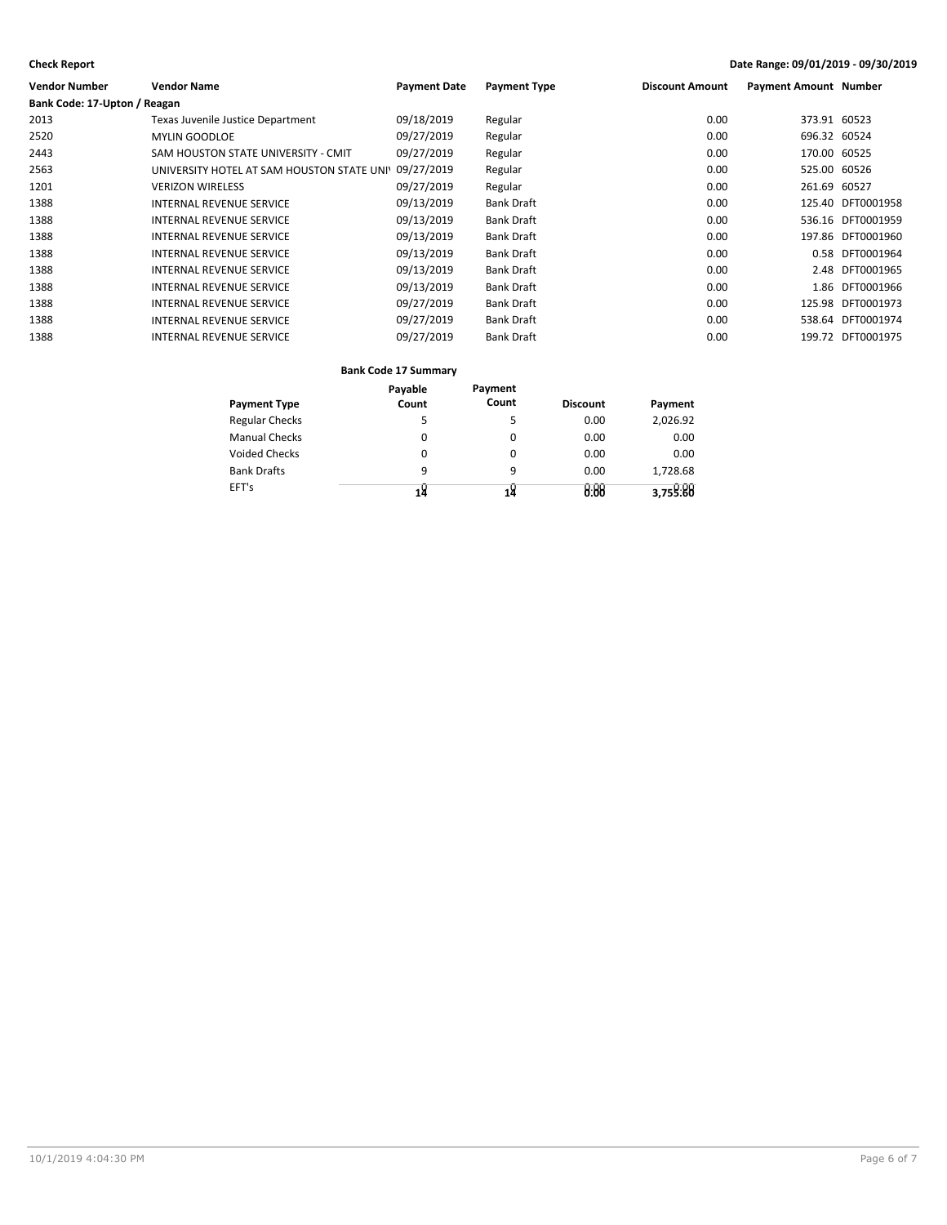| <b>Vendor Name</b>                         | <b>Payment Date</b> | <b>Payment Type</b> | <b>Discount Amount</b> | <b>Payment Amount Number</b> |                   |
|--------------------------------------------|---------------------|---------------------|------------------------|------------------------------|-------------------|
| Bank Code: 17-Upton / Reagan               |                     |                     |                        |                              |                   |
| Texas Juvenile Justice Department          | 09/18/2019          | Regular             | 0.00                   | 373.91 60523                 |                   |
| <b>MYLIN GOODLOE</b>                       | 09/27/2019          | Regular             | 0.00                   | 696.32 60524                 |                   |
| SAM HOUSTON STATE UNIVERSITY - CMIT        | 09/27/2019          | Regular             | 0.00                   | 170.00 60525                 |                   |
| UNIVERSITY HOTEL AT SAM HOUSTON STATE UNI' |                     | Regular             | 0.00                   | 525.00 60526                 |                   |
| <b>VERIZON WIRELESS</b>                    | 09/27/2019          | Regular             | 0.00                   | 261.69 60527                 |                   |
| <b>INTERNAL REVENUE SERVICE</b>            | 09/13/2019          | <b>Bank Draft</b>   | 0.00                   |                              | 125.40 DFT0001958 |
| <b>INTERNAL REVENUE SERVICE</b>            | 09/13/2019          | <b>Bank Draft</b>   | 0.00                   |                              | 536.16 DFT0001959 |
| <b>INTERNAL REVENUE SERVICE</b>            | 09/13/2019          | <b>Bank Draft</b>   | 0.00                   |                              | 197.86 DFT0001960 |
| INTERNAL REVENUE SERVICE                   | 09/13/2019          | <b>Bank Draft</b>   | 0.00                   |                              | 0.58 DFT0001964   |
| INTERNAL REVENUE SERVICE                   | 09/13/2019          | <b>Bank Draft</b>   | 0.00                   |                              | 2.48 DFT0001965   |
| INTERNAL REVENUE SERVICE                   | 09/13/2019          | <b>Bank Draft</b>   | 0.00                   | 1.86                         | DFT0001966        |
| INTERNAL REVENUE SERVICE                   | 09/27/2019          | <b>Bank Draft</b>   | 0.00                   |                              | 125.98 DFT0001973 |
| INTERNAL REVENUE SERVICE                   | 09/27/2019          | <b>Bank Draft</b>   | 0.00                   |                              | 538.64 DFT0001974 |
| <b>INTERNAL REVENUE SERVICE</b>            | 09/27/2019          | <b>Bank Draft</b>   | 0.00                   |                              | 199.72 DFT0001975 |
|                                            |                     | 09/27/2019          |                        |                              |                   |

### **Bank Code 17 Summary**

|                       | Payable | Payment |                 |          |
|-----------------------|---------|---------|-----------------|----------|
| <b>Payment Type</b>   | Count   | Count   | <b>Discount</b> | Payment  |
| <b>Regular Checks</b> | 5       | 5       | 0.00            | 2,026.92 |
| <b>Manual Checks</b>  | 0       | 0       | 0.00            | 0.00     |
| Voided Checks         | 0       | 0       | 0.00            | 0.00     |
| <b>Bank Drafts</b>    | 9       | 9       | 0.00            | 1.728.68 |
| EFT's                 |         |         | 8.88            | 3,759:88 |